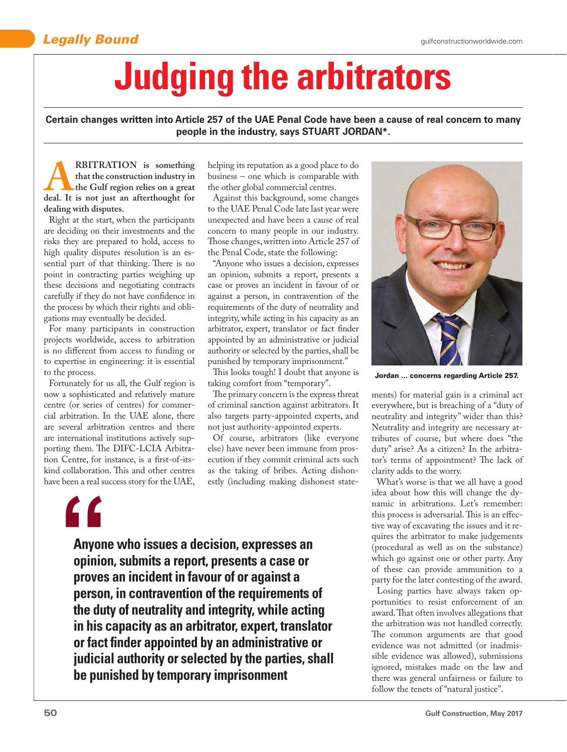## **Legally Bound** gulfconstructionworldwide.com

## **Judging the arbitrators**

**Certain changes written into Article 257 of the UAE Penal Code have been a cause of real concern to many people in the industry, says STUART JORDAN\*.**

**A**<br>**RBITRATION** is something<br>that the construction industry in<br>the Gulf region relies on a great<br>deal. It is not just an afterthought for **that the construction industry in the Gulf region relies on a great dealing with disputes.** 

Right at the start, when the participants are deciding on their investments and the risks they are prepared to hold, access to high quality disputes resolution is an essential part of that thinking. There is no point in contracting parties weighing up these decisions and negotiating contracts carefully if they do not have confidence in the process by which their rights and obligations may eventually be decided.

For many participants in construction projects worldwide, access to arbitration is no different from access to funding or to expertise in engineering: it is essential to the process.

Fortunately for us all, the Gulf region is now a sophisticated and relatively mature centre (or series of centres) for commercial arbitration. In the UAE alone, there are several arbitration centres and there are international institutions actively supporting them. The DIFC-LCIA Arbitration Centre, for instance, is a first-of-itskind collaboration. This and other centres have been a real success story for the UAE, helping its reputation as a good place to do business – one which is comparable with the other global commercial centres.

Against this background, some changes to the UAE Penal Code late last year were unexpected and have been a cause of real concern to many people in our industry. Those changes, written into Article 257 of the Penal Code, state the following:

"Anyone who issues a decision, expresses an opinion, submits a report, presents a case or proves an incident in favour of or against a person, in contravention of the requirements of the duty of neutrality and integrity, while acting in his capacity as an arbitrator, expert, translator or fact finder appointed by an administrative or judicial authority or selected by the parties, shall be punished by temporary imprisonment."

This looks tough! I doubt that anyone is taking comfort from "temporary".

The primary concern is the express threat of criminal sanction against arbitrators. It also targets party-appointed experts, and not just authority-appointed experts.

Of course, arbitrators (like everyone else) have never been immune from prosecution if they commit criminal acts such as the taking of bribes. Acting dishonestly (including making dishonest state-



**Anyone who issues a decision, expresses an opinion, submits a report, presents a case or proves an incident in favour of or against a person, in contravention of the requirements of the duty of neutrality and integrity, while acting in his capacity as an arbitrator, expert, translator or fact finder appointed by an administrative or judicial authority or selected by the parties, shall be punished by temporary imprisonment**



Jordan ... concerns regarding Article 257.

ments) for material gain is a criminal act everywhere, but is breaching of a "duty of neutrality and integrity" wider than this? Neutrality and integrity are necessary attributes of course, but where does "the duty" arise? As a citizen? In the arbitrator's terms of appointment? The lack of clarity adds to the worry.

What's worse is that we all have a good idea about how this will change the dynamic in arbitrations. Let's remember: this process is adversarial. This is an effective way of excavating the issues and it requires the arbitrator to make judgements (procedural as well as on the substance) which go against one or other party. Any of these can provide ammunition to a party for the later contesting of the award.

Losing parties have always taken opportunities to resist enforcement of an award. That often involves allegations that the arbitration was not handled correctly. The common arguments are that good evidence was not admitted (or inadmissible evidence was allowed), submissions ignored, mistakes made on the law and there was general unfairness or failure to follow the tenets of "natural justice".